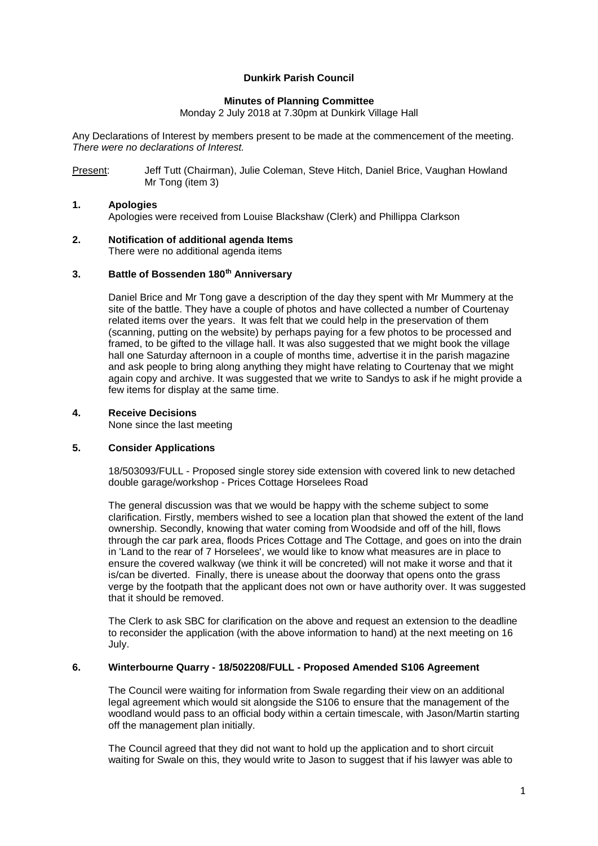# **Dunkirk Parish Council**

# **Minutes of Planning Committee**

Monday 2 July 2018 at 7.30pm at Dunkirk Village Hall

Any Declarations of Interest by members present to be made at the commencement of the meeting. *There were no declarations of Interest.*

Present: Jeff Tutt (Chairman), Julie Coleman, Steve Hitch, Daniel Brice, Vaughan Howland Mr Tong (item 3)

# **1. Apologies**

Apologies were received from Louise Blackshaw (Clerk) and Phillippa Clarkson

#### **2. Notification of additional agenda Items** There were no additional agenda items

# **3. Battle of Bossenden 180th Anniversary**

Daniel Brice and Mr Tong gave a description of the day they spent with Mr Mummery at the site of the battle. They have a couple of photos and have collected a number of Courtenay related items over the years. It was felt that we could help in the preservation of them (scanning, putting on the website) by perhaps paying for a few photos to be processed and framed, to be gifted to the village hall. It was also suggested that we might book the village hall one Saturday afternoon in a couple of months time, advertise it in the parish magazine and ask people to bring along anything they might have relating to Courtenay that we might again copy and archive. It was suggested that we write to Sandys to ask if he might provide a few items for display at the same time.

#### **4. Receive Decisions**

None since the last meeting

## **5. Consider Applications**

18/503093/FULL - Proposed single storey side extension with covered link to new detached double garage/workshop - Prices Cottage Horselees Road

The general discussion was that we would be happy with the scheme subject to some clarification. Firstly, members wished to see a location plan that showed the extent of the land ownership. Secondly, knowing that water coming from Woodside and off of the hill, flows through the car park area, floods Prices Cottage and The Cottage, and goes on into the drain in 'Land to the rear of 7 Horselees', we would like to know what measures are in place to ensure the covered walkway (we think it will be concreted) will not make it worse and that it is/can be diverted. Finally, there is unease about the doorway that opens onto the grass verge by the footpath that the applicant does not own or have authority over. It was suggested that it should be removed.

The Clerk to ask SBC for clarification on the above and request an extension to the deadline to reconsider the application (with the above information to hand) at the next meeting on 16 July.

#### **6. Winterbourne Quarry - 18/502208/FULL - Proposed Amended S106 Agreement**

The Council were waiting for information from Swale regarding their view on an additional legal agreement which would sit alongside the S106 to ensure that the management of the woodland would pass to an official body within a certain timescale, with Jason/Martin starting off the management plan initially.

The Council agreed that they did not want to hold up the application and to short circuit waiting for Swale on this, they would write to Jason to suggest that if his lawyer was able to